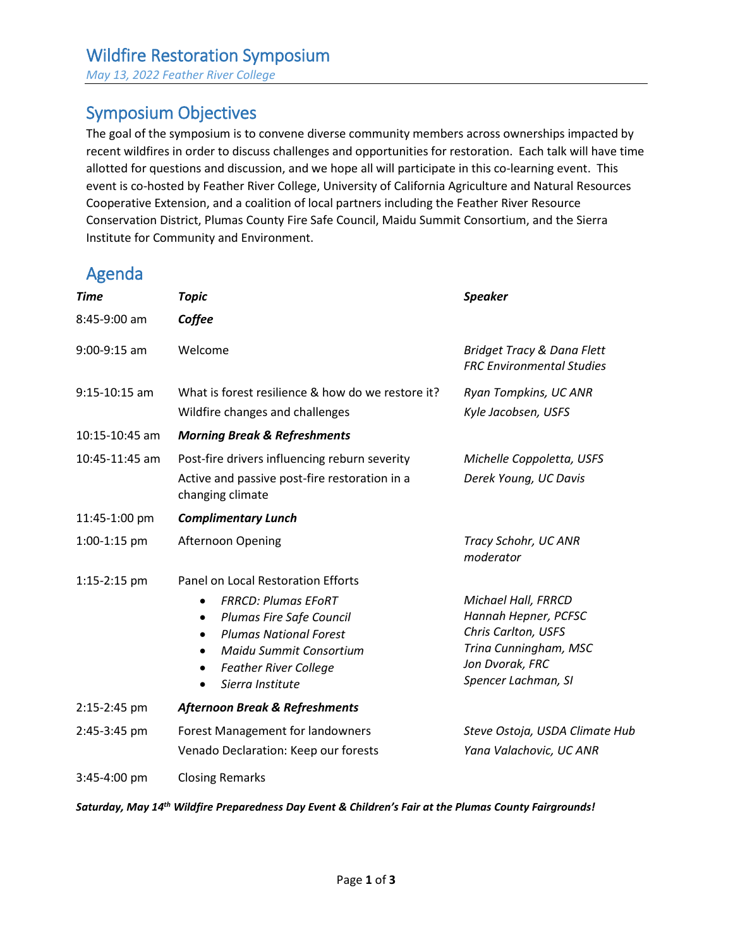*May 13, 2022 Feather River College*

# Symposium Objectives

The goal of the symposium is to convene diverse community members across ownerships impacted by recent wildfires in order to discuss challenges and opportunities for restoration. Each talk will have time allotted for questions and discussion, and we hope all will participate in this co-learning event. This event is co-hosted by Feather River College, University of California Agriculture and Natural Resources Cooperative Extension, and a coalition of local partners including the Feather River Resource Conservation District, Plumas County Fire Safe Council, Maidu Summit Consortium, and the Sierra Institute for Community and Environment.

# Agenda

| <b>Time</b>     | <b>Topic</b>                                                                                                                                                                                                                                                     | <b>Speaker</b>                                                                                                                        |
|-----------------|------------------------------------------------------------------------------------------------------------------------------------------------------------------------------------------------------------------------------------------------------------------|---------------------------------------------------------------------------------------------------------------------------------------|
| 8:45-9:00 am    | Coffee                                                                                                                                                                                                                                                           |                                                                                                                                       |
| $9:00-9:15$ am  | Welcome                                                                                                                                                                                                                                                          | Bridget Tracy & Dana Flett<br><b>FRC Environmental Studies</b>                                                                        |
| $9:15-10:15$ am | What is forest resilience & how do we restore it?<br>Wildfire changes and challenges                                                                                                                                                                             | Ryan Tompkins, UC ANR<br>Kyle Jacobsen, USFS                                                                                          |
| 10:15-10:45 am  | <b>Morning Break &amp; Refreshments</b>                                                                                                                                                                                                                          |                                                                                                                                       |
| 10:45-11:45 am  | Post-fire drivers influencing reburn severity<br>Active and passive post-fire restoration in a<br>changing climate                                                                                                                                               | Michelle Coppoletta, USFS<br>Derek Young, UC Davis                                                                                    |
| 11:45-1:00 pm   | <b>Complimentary Lunch</b>                                                                                                                                                                                                                                       |                                                                                                                                       |
| 1:00-1:15 pm    | <b>Afternoon Opening</b>                                                                                                                                                                                                                                         | Tracy Schohr, UC ANR<br>moderator                                                                                                     |
| 1:15-2:15 pm    | Panel on Local Restoration Efforts<br><b>FRRCD: Plumas EFORT</b><br>Plumas Fire Safe Council<br>$\bullet$<br><b>Plumas National Forest</b><br>$\bullet$<br>Maidu Summit Consortium<br>$\bullet$<br><b>Feather River College</b><br>Sierra Institute<br>$\bullet$ | Michael Hall, FRRCD<br>Hannah Hepner, PCFSC<br>Chris Carlton, USFS<br>Trina Cunningham, MSC<br>Jon Dvorak, FRC<br>Spencer Lachman, SI |
| 2:15-2:45 pm    | <b>Afternoon Break &amp; Refreshments</b>                                                                                                                                                                                                                        |                                                                                                                                       |
| 2:45-3:45 pm    | Forest Management for landowners<br>Venado Declaration: Keep our forests                                                                                                                                                                                         | Steve Ostoja, USDA Climate Hub<br>Yana Valachovic, UC ANR                                                                             |
| 3:45-4:00 pm    | <b>Closing Remarks</b>                                                                                                                                                                                                                                           |                                                                                                                                       |

*Saturday, May 14th Wildfire Preparedness Day Event & Children's Fair at the Plumas County Fairgrounds!*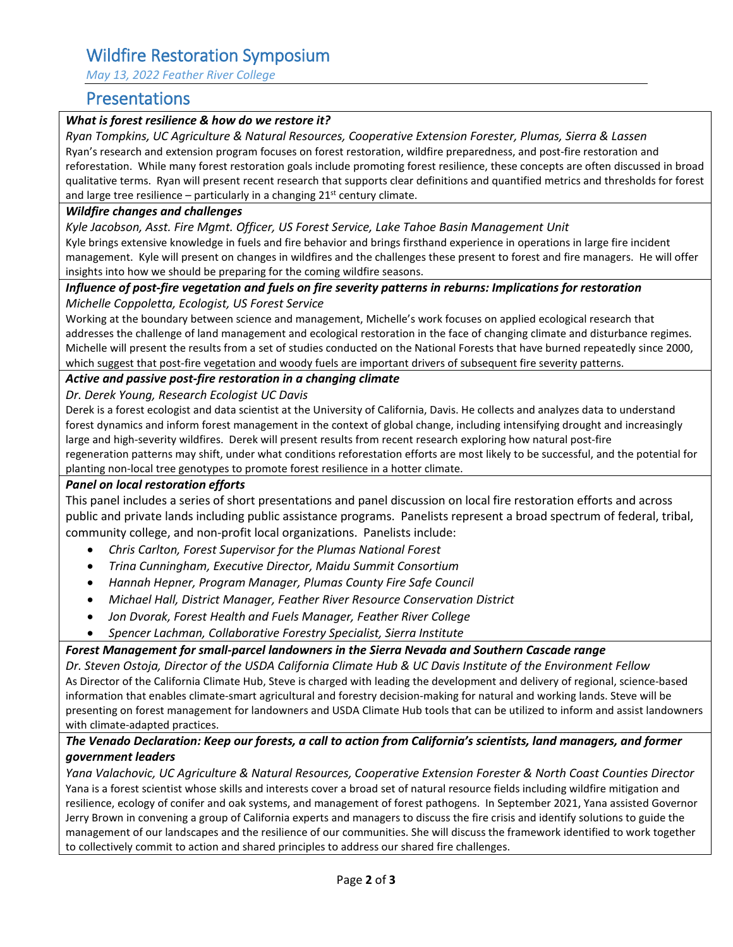# Wildfire Restoration Symposium

*May 13, 2022 Feather River College*

### Presentations

### *What is forest resilience & how do we restore it?*

*Ryan Tompkins, UC Agriculture & Natural Resources, Cooperative Extension Forester, Plumas, Sierra & Lassen* Ryan's research and extension program focuses on forest restoration, wildfire preparedness, and post-fire restoration and reforestation. While many forest restoration goals include promoting forest resilience, these concepts are often discussed in broad qualitative terms. Ryan will present recent research that supports clear definitions and quantified metrics and thresholds for forest and large tree resilience  $-$  particularly in a changing 21st century climate.

#### *Wildfire changes and challenges*

#### *Kyle Jacobson, Asst. Fire Mgmt. Officer, US Forest Service, Lake Tahoe Basin Management Unit*

Kyle brings extensive knowledge in fuels and fire behavior and brings firsthand experience in operations in large fire incident management. Kyle will present on changes in wildfires and the challenges these present to forest and fire managers. He will offer insights into how we should be preparing for the coming wildfire seasons.

### *Influence of post-fire vegetation and fuels on fire severity patterns in reburns: Implications for restoration Michelle Coppoletta, Ecologist, US Forest Service*

Working at the boundary between science and management, Michelle's work focuses on applied ecological research that addresses the challenge of land management and ecological restoration in the face of changing climate and disturbance regimes. Michelle will present the results from a set of studies conducted on the National Forests that have burned repeatedly since 2000, which suggest that post-fire vegetation and woody fuels are important drivers of subsequent fire severity patterns.

#### *Active and passive post-fire restoration in a changing climate*

*Dr. Derek Young, Research Ecologist UC Davis*

Derek is a forest ecologist and data scientist at the University of California, Davis. He collects and analyzes data to understand forest dynamics and inform forest management in the context of global change, including intensifying drought and increasingly large and high-severity wildfires. Derek will present results from recent research exploring how natural post-fire regeneration patterns may shift, under what conditions reforestation efforts are most likely to be successful, and the potential for planting non-local tree genotypes to promote forest resilience in a hotter climate.

#### *Panel on local restoration efforts*

This panel includes a series of short presentations and panel discussion on local fire restoration efforts and across public and private lands including public assistance programs. Panelists represent a broad spectrum of federal, tribal, community college, and non-profit local organizations. Panelists include:

- *Chris Carlton, Forest Supervisor for the Plumas National Forest*
- *Trina Cunningham, Executive Director, Maidu Summit Consortium*
- *Hannah Hepner, Program Manager, Plumas County Fire Safe Council*
- *Michael Hall, District Manager, Feather River Resource Conservation District*
- *Jon Dvorak, Forest Health and Fuels Manager, Feather River College*
- *Spencer Lachman, Collaborative Forestry Specialist, Sierra Institute*

### *Forest Management for small-parcel landowners in the Sierra Nevada and Southern Cascade range*

*Dr. Steven Ostoja, Director of the USDA California Climate Hub & UC Davis Institute of the Environment Fellow* As Director of the California Climate Hub, Steve is charged with leading the development and delivery of regional, science-based information that enables climate-smart agricultural and forestry decision-making for natural and working lands. Steve will be presenting on forest management for landowners and USDA Climate Hub tools that can be utilized to inform and assist landowners with climate-adapted practices.

### *The Venado Declaration: Keep our forests, a call to action from California's scientists, land managers, and former government leaders*

*Yana Valachovic, UC Agriculture & Natural Resources, Cooperative Extension Forester & North Coast Counties Director* Yana is a forest scientist whose skills and interests cover a broad set of natural resource fields including wildfire mitigation and resilience, ecology of conifer and oak systems, and management of forest pathogens. In September 2021, Yana assisted Governor Jerry Brown in convening a group of California experts and managers to discuss the fire crisis and identify solutions to guide the management of our landscapes and the resilience of our communities. She will discuss the framework identified to work together to collectively commit to action and shared principles to address our shared fire challenges.